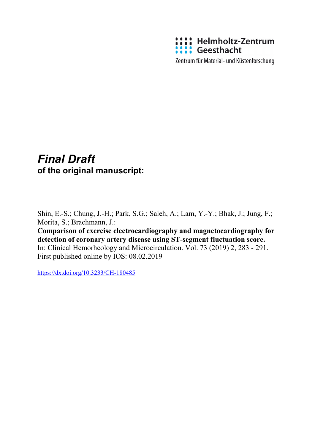

Zentrum für Material- und Küstenforschung

## *Final Draft*  **of the original manuscript:**

Shin, E.-S.; Chung, J.-H.; Park, S.G.; Saleh, A.; Lam, Y.-Y.; Bhak, J.; Jung, F.; Morita, S.; Brachmann, J.:

**Comparison of exercise electrocardiography and magnetocardiography for detection of coronary artery disease using ST-segment fluctuation score.**  In: Clinical Hemorheology and Microcirculation. Vol. 73 (2019) 2, 283 - 291. First published online by IOS: 08.02.2019

<https://dx.doi.org/10.3233/CH-180485>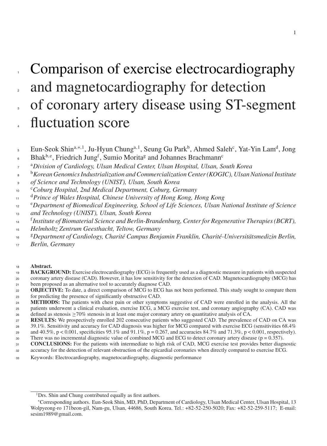# Comparison of exercise electrocardiography 2 and magnetocardiography for detection of coronary artery disease using ST-segment fluctuation score

- Bhak<sup>b,e</sup>, Friedrich Jung<sup>f</sup>, Sumio Morita<sup>g</sup> and Johannes Brachmann<sup>c</sup>
- <sup>a</sup> *Division of Cardiology, Ulsan Medical Center, Ulsan Hospital, Ulsan, South Korea*
- <sup>b</sup> *Korean Genomics Industrialization and Commercialization Center (KOGIC), Ulsan National Institute*
- *of Science and Technology (UNIST), Ulsan, South Korea*
- <sup>c</sup> *Coburg Hospital, 2nd Medical Department, Coburg, Germany*
- <sup>d</sup> *Prince of Wales Hospital, Chinese University of Hong Kong, Hong Kong*
- <sup>e</sup> *Department of Biomedical Engineering, School of Life Sciences, Ulsan National Institute of Science*
- *and Technology (UNIST), Ulsan, South Korea*
- <sup>f</sup> *Institute of Biomaterial Science and Berlin-Brandenburg, Center for Regenerative Therapies (BCRT),*
- *Helmholtz Zentrum Geesthacht, Teltow, Germany*
- <sup>g</sup> *Department of Cardiology, Charité Campus Benjamin Franklin, Charité-Universitätsmedizin Berlin,*
- *Berlin, Germany*
- **Abstract.**
- **BACKGROUND:** Exercise electrocardiography (ECG) is frequently used as a diagnostic measure in patients with suspected coronary artery disease (CAD). However, it has low sensitivity for the detection of CAD. Magnetocardiography (MCG) has been proposed as an alternative tool to accurately diagnose CAD.
- **OBJECTIVE:** To date, a direct comparison of MCG to ECG has not been performed. This study sought to compare them for predicting the presence of significantly obstructive CAD.
- **METHODS:** The patients with chest pain or other symptoms suggestive of CAD were enrolled in the analysis. All the patients underwent a clinical evaluation, exercise ECG, a MCG exercise test, and coronary angiography (CA). CAD was
- 26 defined as stenosis  $\geq 70\%$  stenosis in at least one major coronary artery on quantitative analysis of CA.<br>**RESULTS:** We prospectively enrolled 202 consecutive patients who suggested CAD. The prevalence **RESULTS:** We prospectively enrolled 202 consecutive patients who suggested CAD. The prevalence of CAD on CA was
- 39.1%. Sensitivity and accuracy for CAD diagnosis was higher for MCG compared with exercise ECG (sensitivities 68.4%
- 29 and 40.5%, p < 0.001, specificities 95.1% and 91.1%, p = 0.267, and accuracies 84.7% and 71.3%, p < 0.001, respectively).
- 30 There was no incremental diagnostic value of combined MCG and ECG to detect coronary artery disease (p = 0.357).
- **CONCLUSIONS:** For the patients with intermediate to high risk of CAD, MCG exercise test provides better diagnostic
- accuracy for the detection of relevant obstruction of the epicardial coronaries when directly compared to exercise ECG.
- Keywords: Electrocardiography, magnetocardiography, diagnostic performance

Eun-Seok Shin<sup>a,∗, 1</sup>, Ju-Hyun Chung<sup>a, 1</sup>, Seung Gu Park<sup>b</sup>, Ahmed Saleh<sup>c</sup>, Yat-Yin Lam<sup>d</sup>, Jong 

<sup>&</sup>lt;sup>1</sup>Drs. Shin and Chung contributed equally as first authors.

<sup>∗</sup>Corresponding authors. Eun-Seok Shin, MD, PhD, Department of Cardiology, Ulsan Medical Center, Ulsan Hospital, 13 Wolpyeong-ro 171beon-gil, Nam-gu, Ulsan, 44686, South Korea. Tel.: +82-52-250-5020; Fax: +82-52-259-5117; E-mail: [sesim1989@gmail.com.](mailto:sesim1989@gmail.com)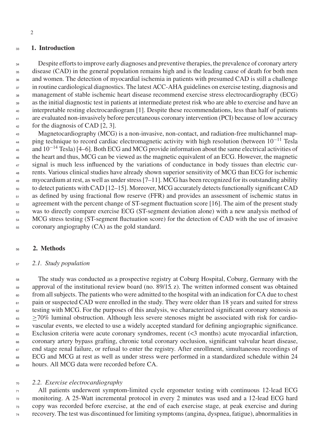#### <sup>33</sup> **1. Introduction**

34 35 36 37 38 39  $40$ 41 42 Despite efforts to improve early diagnoses and preventive therapies, the prevalence of coronary artery disease (CAD) in the general population remains high and is the leading cause of death for both men and women. The detection of myocardial ischemia in patients with presumed CAD is still a challenge in routine cardiological diagnostics. The latest ACC-AHA guidelines on exercise testing, diagnosis and management of stable ischemic heart disease recommend exercise stress electrocardiography (ECG) as the initial diagnostic test in patients at intermediate pretest risk who are able to exercise and have an interpretable resting electrocardiogram [1]. Despite these recommendations, less than half of patients are evaluated non-invasively before percutaneous coronary intervention (PCI) because of low accuracy for the diagnosis of CAD [2, 3].

43 44 45 46  $47$ 48 49 50 51 52 53 54 55 Magnetocardiography (MCG) is a non-invasive, non-contact, and radiation-free multichannel mapping technique to record cardiac electromagnetic activity with high resolution (between 10<sup>−11</sup> Tesla and  $10^{-14}$  Tesla) [4–6]. Both ECG and MCG provide information about the same electrical activities of the heart and thus, MCG can be viewed as the magnetic equivalent of an ECG. However, the magnetic signal is much less influenced by the variations of conductance in body tissues than electric currents. Various clinical studies have already shown superior sensitivity of MCG than ECG for ischemic myocardium at rest, as well as under stress [7–11]. MCG has been recognized for its outstanding ability to detect patients with CAD [12–15]. Moreover, MCG accurately detects functionally significant CAD as defined by using fractional flow reserve (FFR) and provides an assessment of ischemic status in agreement with the percent change of ST-segment fluctuation score [16]. The aim of the present study was to directly compare exercise ECG (ST-segment deviation alone) with a new analysis method of MCG stress testing (ST-segment fluctuation score) for the detection of CAD with the use of invasive coronary angiography (CA) as the gold standard.

#### 56 **2. Methods**

#### 57 *2.1. Study population*

58 59 60 61 62 63 64 65 66 67 68 69 The study was conducted as a prospective registry at Coburg Hospital, Coburg, Germany with the approval of the institutional review board (no. 89/15 z). The written informed consent was obtained from allsubjects. The patients who were admitted to the hospital with an indication for CA due to chest pain or suspected CAD were enrolled in the study. They were older than 18 years and suited for stress testing with MCG. For the purposes of this analysis, we characterized significant coronary stenosis as ≥70% luminal obstruction. Although less severe stenoses might be associated with risk for cardiovascular events, we elected to use a widely accepted standard for defining angiographic significance. Exclusion criteria were acute coronary syndromes, recent (<3 months) acute myocardial infarction, coronary artery bypass grafting, chronic total coronary occlusion, significant valvular heart disease, end stage renal failure, or refusal to enter the registry. After enrollment, simultaneous recordings of ECG and MCG at rest as well as under stress were performed in a standardized schedule within 24 hours. All MCG data were recorded before CA.

#### 70 *2.2. Exercise electrocardiography*

71 72 73 All patients underwent symptom-limited cycle ergometer testing with continuous 12-lead ECG monitoring. A 25-Watt incremental protocol in every 2 minutes was used and a 12-lead ECG hard copy was recorded before exercise, at the end of each exercise stage, at peak exercise and during <sup>74</sup> recovery. The test was discontinued for limiting symptoms(angina, dyspnea, fatigue), abnormalitiesin

2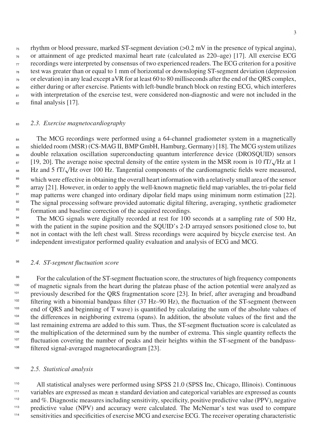rhythm or blood pressure, marked ST-segment deviation (>0.2 mV in the presence of typical angina), or attainment of age predicted maximal heart rate (calculated as 220–age) [17]. All exercise ECG  $\sigma$  recordings were interpreted by consensus of two experienced readers. The ECG criterion for a positive test was greater than or equal to 1 mm of horizontal or downsloping ST-segment deviation (depression or elevation) in any lead except aVR for at least 60 to 80 milliseconds after the end of the QRS complex, either during or after exercise. Patients with left-bundle branch block on resting ECG, which interferes <sup>81</sup> with interpretation of the exercise test, were considered non-diagnostic and were not included in the

 $_{82}$  final analysis [17].

### <sup>83</sup> *2.3. Exercise magnetocardiography*

<sup>84</sup> The MCG recordings were performed using a 64-channel gradiometer system in a magnetically <sup>85</sup> shielded room (MSR) (CS-MAG II, BMP GmbH, Hamburg, Germany) [18]. The MCG system utilizes <sup>86</sup> double relaxation oscillation superconducting quantum interference device (DROSQUID) sensors  $_{87}$  [19, 20]. The average noise spectral density of the entire system in the MSR room is 10 fT/ $\sqrt{Hz}$  at 1 <sup>88</sup> Hz and 5 fT/√Hz over 100 Hz. Tangential components of the cardiomagnetic fields were measured, <sup>89</sup> which were effective in obtaining the overall heart information with a relatively small area of the sensor <sup>90</sup> array [21]. However, in order to apply the well-known magnetic field map variables, the tri-polar field <sup>91</sup> map patterns were changed into ordinary dipolar field maps using minimum norm estimation [22]. <sup>92</sup> The signal processing software provided automatic digital filtering, averaging, synthetic gradiometer

<sup>93</sup> formation and baseline correction of the acquired recordings.

<sup>94</sup> The MCG signals were digitally recorded at rest for 100 seconds at a sampling rate of 500 Hz, <sup>95</sup> with the patient in the supine position and the SQUID's 2-D arrayed sensors positioned close to, but <sup>96</sup> not in contact with the left chest wall. Stress recordings were acquired by bicycle exercise test. An <sup>97</sup> independent investigator performed quality evaluation and analysis of ECG and MCG.

### <sup>98</sup> 2.4. ST-segment fluctuation score

For the calculation of the ST-segment fluctuation score, the structures of high frequency components <sup>99</sup> <sup>100</sup> of magnetic signals from the heart during the plateau phase of the action potential were analyzed as <sup>101</sup> previously described for the QRS fragmentation score [23]. In brief, after averaging and broadband  $102$  filtering with a binomial bandpass filter (37 Hz–90 Hz), the fluctuation of the ST-segment (between <sup>103</sup> end of QRS and beginning of T wave) is quantified by calculating the sum of the absolute values of the differences in neighboring extrema (spans). In addition, the absolute values of the first and the last remaining extrema are added to this sum. Thus, the ST-segment fluctuation score is calculated as <sup>105</sup> <sup>106</sup> the multiplication of the determined sum by the number of extrema. This single quantity reflects the fluctuation covering the number of peaks and their heights within the ST-segment of the bandpass-<sup>108</sup> filtered signal-averaged magnetocardiogram [23].

### <sup>109</sup> 2.5. Statistical analysis

<sup>110</sup> All statistical analyses were performed using SPSS 21.0 (SPSS Inc, Chicago, Illinois). Continuous variables are expressed as mean  $\pm$  standard deviation and categorical variables are expressed as counts <sup>112</sup> and %. Diagnostic measures including sensitivity, specificity, positive predictive value (PPV), negative <sup>113</sup> predictive value (NPV) and accuracy were calculated. The McNemar's test was used to compare sensitivities and specificities of exercise MCG and exercise ECG. The receiver operating characteristic <sup>114</sup>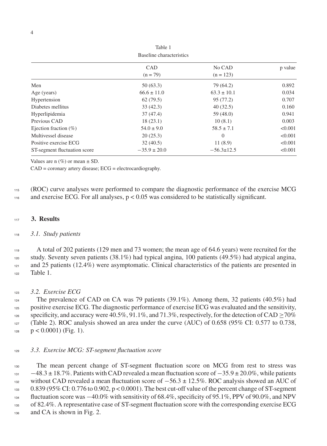| Baseline characteristics     |                          |                       |         |
|------------------------------|--------------------------|-----------------------|---------|
|                              | <b>CAD</b><br>$(n = 79)$ | No CAD<br>$(n = 123)$ | p value |
| Men                          | 50(63.3)                 | 79 (64.2)             | 0.892   |
| Age (years)                  | $66.6 \pm 11.0$          | $63.3 \pm 10.1$       | 0.034   |
| Hypertension                 | 62(79.5)                 | 95 (77.2)             | 0.707   |
| Diabetes mellitus            | 33(42.3)                 | 40(32.5)              | 0.160   |
| Hyperlipidemia               | 37(47.4)                 | 59(48.0)              | 0.941   |
| Previous CAD                 | 18(23.1)                 | 10(8.1)               | 0.003   |
| Ejection fraction $(\% )$    | $54.0 \pm 9.0$           | $58.5 \pm 7.1$        | < 0.001 |
| Multivessel disease          | 20(25.3)                 | $\Omega$              | < 0.001 |
| Positive exercise ECG        | 32(40.5)                 | 11(8.9)               | < 0.001 |
| ST-segment fluctuation score | $-35.9 \pm 20.0$         | $-56.3 \pm 12.5$      | < 0.001 |

Table 1

Values are n  $(\%)$  or mean  $\pm$  SD.

CAD = coronary artery disease; ECG = electrocardiography.

<sup>115</sup> (ROC) curve analyses were performed to compare the diagnostic performance of the exercise MCG 116 and exercise ECG. For all analyses,  $p < 0.05$  was considered to be statistically significant.

#### <sup>117</sup> **3. Results**

### <sup>118</sup> *3.1. Study patients*

<sup>119</sup> A total of 202 patients (129 men and 73 women; the mean age of 64.6 years) were recruited for the <sup>120</sup> study. Seventy seven patients (38.1%) had typical angina, 100 patients (49.5%) had atypical angina, and 25 patients (12.4%) were asymptomatic. Clinical characteristics of the patients are presented in <sup>122</sup> Table 1.

### <sup>123</sup> *3.2. Exercise ECG*

<sup>124</sup> The prevalence of CAD on CA was 79 patients (39.1%). Among them, 32 patients (40.5%) had <sup>125</sup> positive exercise ECG. The diagnostic performance of exercise ECG was evaluated and the sensitivity, specificity, and accuracy were 40.5%, 91.1%, and 71.3%, respectively, for the detection of CAD  $>70\%$ <sup>127</sup> (Table 2). ROC analysis showed an area under the curve (AUC) of 0.658 (95% CI: 0.577 to 0.738,  $p < 0.0001$ ) (Fig. 1).

### <sup>129</sup> *3.3. Exercise MCG: ST-segment fluctuation score*

 The mean percent change of ST-segment fluctuation score on MCG from rest to stress was −48.3 ± 18.7%. Patients with CAD revealed a mean fluctuation score of −35.9 ± 20.0%, while patients without CAD revealed a mean fluctuation score of  $-56.3 \pm 12.5\%$ . ROC analysis showed an AUC of 0.839 (95% CI: 0.776 to 0.902, p < 0.0001). The best cut-off value of the percent change of ST-segment fluctuation score was −40.0% with sensitivity of 68.4%, specificity of 95.1%, PPV of 90.0%, and NPV of 82.4%. A representative case of ST-segment fluctuation score with the corresponding exercise ECG and CA is shown in Fig. 2.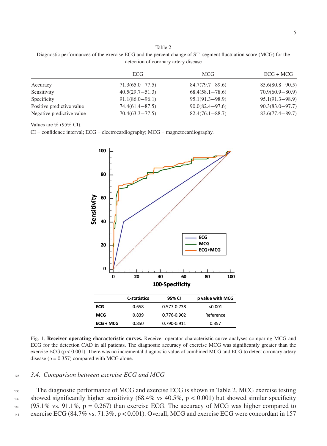5

### Table 2 Diagnostic performances of the exercise ECG and the percent change of ST–segment fluctuation score (MCG) for the detection of coronary artery disease

| ECG<br>MCG<br>$84.7(79.7 - 89.6)$<br>$71.3(65.0 - 77.5)$<br>Accuracy<br>$40.5(29.7 - 51.3)$<br>Sensitivity<br>$68.4(58.1 - 78.6)$<br>$95.1(91.3 - 98.9)$<br>$91.1(86.0 - 96.1)$<br>Specificity |                     |
|------------------------------------------------------------------------------------------------------------------------------------------------------------------------------------------------|---------------------|
|                                                                                                                                                                                                | $ECG + MCG$         |
|                                                                                                                                                                                                | $85.6(80.8 - 90.5)$ |
|                                                                                                                                                                                                | $70.9(60.9 - 80.9)$ |
|                                                                                                                                                                                                | $95.1(91.3 - 98.9)$ |
| Positive predictive value<br>$90.0(82.4 - 97.6)$<br>$74.4(61.4 - 87.5)$                                                                                                                        | $90.3(83.0 - 97.7)$ |
| $70.4(63.3 - 77.5)$<br>Negative predictive value<br>$82.4(76.1 - 88.7)$                                                                                                                        | $83.6(77.4 - 89.7)$ |

Values are % (95% CI).

 $CI =$  confidence interval;  $ECG =$  electrocardiography;  $MCG =$  magnetocardiography.



Fig. 1. **Receiver operating characteristic curves.** Receiver operator characteristic curve analyses comparing MCG and ECG for the detection CAD in all patients. The diagnostic accuracy of exercise MCG was significantly greater than the exercise ECG ( $p < 0.001$ ). There was no incremental diagnostic value of combined MCG and ECG to detect coronary artery disease ( $p = 0.357$ ) compared with MCG alone.

#### <sup>137</sup> *3.4. Comparison between exercise ECG and MCG*

 The diagnostic performance of MCG and exercise ECG is shown in Table 2. MCG exercise testing 139 showed significantly higher sensitivity (68.4% vs  $40.5\%$ , p < 0.001) but showed similar specificity (95.1% vs. 91.1%, p = 0.267) than exercise ECG. The accuracy of MCG was higher compared to exercise ECG (84.7% vs. 71.3%, p < 0.001). Overall, MCG and exercise ECG were concordant in 157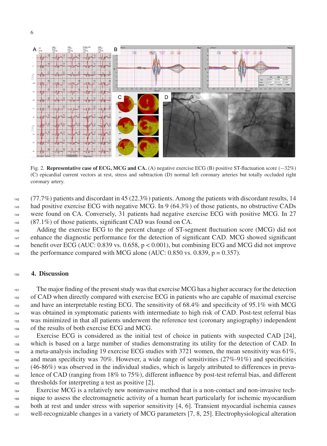

Fig. 2. **Representative case of ECG, MCG and CA.** (A) negative exercise ECG (B) positive ST-fluctuation score (−32%) (C) epicardial current vectors at rest, stress and subtraction (D) normal left coronary arteries but totally occluded right coronary artery.

 (77.7%) patients and discordant in 45 (22.3%) patients. Among the patients with discordant results, 14 had positive exercise ECG with negative MCG. In 9 (64.3%) of those patients, no obstructive CADs 144 were found on CA. Conversely, 31 patients had negative exercise ECG with positive MCG. In 27 (87.1%) of those patients, significant CAD was found on CA.

 Adding the exercise ECG to the percent change of ST-segment fluctuation score (MCG) did not enhance the diagnostic performance for the detection of significant CAD. MCG showed significant benefit over ECG (AUC: 0.839 vs. 0.658, p < 0.001), but combining ECG and MCG did not improve the performance compared with MCG alone (AUC:  $0.850$  vs.  $0.839$ , p =  $0.357$ ).

#### **4. Discussion**

 The major finding of the present study was that exercise MCG has a higher accuracy for the detection of CAD when directly compared with exercise ECG in patients who are capable of maximal exercise and have an interpretable resting ECG. The sensitivity of 68.4% and specificity of 95.1% with MCG was obtained in symptomatic patients with intermediate to high risk of CAD. Post-test referral bias was minimized in that all patients underwent the reference test (coronary angiography) independent of the results of both exercise ECG and MCG.

 Exercise ECG is considered as the initial test of choice in patients with suspected CAD [24], which is based on a large number of studies demonstrating its utility for the detection of CAD. In 159 a meta-analysis including 19 exercise ECG studies with 3721 women, the mean sensitivity was 61%, 160 and mean specificity was 70%. However, a wide range of sensitivities (27%-91%) and specificities  $(46-86%)$  was observed in the individual studies, which is largely attributed to differences in preva- lence of CAD (ranging from 18% to 75%), different influence by post-test referral bias, and different thresholds for interpreting a test as positive [2].

 Exercise MCG is a relatively new noninvasive method that is a non-contact and non-invasive tech- nique to assess the electromagnetic activity of a human heart particularly for ischemic myocardium both at rest and under stress with superior sensitivity [4, 6]. Transient myocardial ischemia causes well-recognizable changes in a variety of MCG parameters [7, 8, 25]. Electrophysiological alteration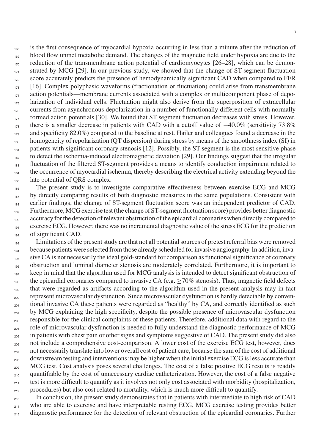<sup>168</sup> is the first consequence of myocardial hypoxia occurring in less than a minute after the reduction of <sup>169</sup> blood flow unmet metabolic demand. The changes of the magnetic field under hypoxia are due to the <sub>170</sub> reduction of the transmembrane action potential of cardiomyocytes [26–28], which can be demon- $171$  strated by MCG [29]. In our previous study, we showed that the change of ST-segment fluctuation <sup>172</sup> score accurately predicts the presence of hemodynamically significant CAD when compared to FFR <sup>173</sup> [16]. Complex polyphasic waveforms (fractionation or fluctuation) could arise from transmembrane <sub>174</sub> action potentials—membrane currents associated with a complex or multicomponent phase of depo- $175$  larization of individual cells. Fluctuation might also derive from the superposition of extracellular <sup>176</sup> currents from asynchronous depolarization in a number of functionally different cells with normally  $177$  formed action potentials [30]. We found that ST segment fluctuation decreases with stress. However, there is a smaller decrease in patients with CAD with a cutoff value of  $-40.0\%$  (sensitivity 73.8%)  $_{179}$  and specificity 82.0%) compared to the baseline at rest. Hailer and colleagues found a decrease in the <sub>180</sub> homogeneity of repolarization (OT dispersion) during stress by means of the smoothness index (SI) in <sup>181</sup> patients with significant coronary stenosis [12]. Possibly, the ST-segment is the most sensitive phase <sub>182</sub> to detect the ischemia-induced electromagnetic deviation [29]. Our findings suggest that the irregular <sup>183</sup> fluctuation of the filtered ST-segment provides a means to identify conduction impairment related to <sup>184</sup> the occurrence of myocardial ischemia, thereby describing the electrical activity extending beyond the 185 late potential of QRS complex.

 The present study is to investigate comparative effectiveness between exercise ECG and MCG <sup>187</sup> by directly comparing results of both diagnostic measures in the same populations. Consistent with earlier findings, the change of ST-segment fluctuation score was an independent predictor of CAD. Furthermore, MCG exercise test (the change of ST-segment fluctuation score) provides better diagnostic accuracy for the detection of relevant obstruction of the epicardial coronaries when directly compared to exercise ECG. However, there was no incremental diagnostic value of the stress ECG for the prediction of significant CAD.

193 Limitations of the present study are that not all potential sources of pretest referral bias were removed <sup>194</sup> because patients were selected from those already scheduled for invasive angiography. In addition, inva-<sup>195</sup> sive CA is not necessarily the ideal gold-standard for comparison as functional significance of coronary <sup>196</sup> obstruction and luminal diameter stenosis are moderately correlated. Furthermore, it is important to  $197$  keep in mind that the algorithm used for MCG analysis is intended to detect significant obstruction of the epicardial coronaries compared to invasive CA (e.g.  $\geq$  70% stenosis). Thus, magnetic field defects <sup>199</sup> that were regarded as artifacts according to the algorithm used in the present analysis may in fact <sub>200</sub> represent microvascular dysfunction. Since microvascular dysfunction is hardly detectable by conven-<sub>201</sub> tional invasive CA these patients were regarded as "healthy" by CA, and correctly identified as such <sub>202</sub> by MCG explaining the high specificity, despite the possible presence of microvascular dysfunction <sub>203</sub> responsible for the clinical complaints of these patients. Therefore, additional data with regard to the <sup>204</sup> role of microvascular dysfunction is needed to fully understand the diagnostic performance of MCG <sub>205</sub> in patients with chest pain or other signs and symptoms suggestive of CAD. The present study did also <sub>206</sub> not include a comprehensive cost-comparison. A lower cost of the exercise ECG test, however, does <sup>207</sup> not necessarily translate into lower overall cost of patient care, because the sum of the cost of additional  $_{208}$  downstream testing and interventions may be higher when the initial exercise ECG is less accurate than <sub>209</sub> MCG test. Cost analysis poses several challenges. The cost of a false positive ECG results is readily  $_{210}$  quantifiable by the cost of unnecessary cardiac catheterization. However, the cost of a false negative  $_{211}$  test is more difficult to quantify as it involves not only cost associated with morbidity (hospitalization, <sup>212</sup> procedures) but also cost related to mortality, which is much more difficult to quantify.

<sub>213</sub> In conclusion, the present study demonstrates that in patients with intermediate to high risk of CAD <sub>214</sub> who are able to exercise and have interpretable resting ECG, MCG exercise testing provides better 215 diagnostic performance for the detection of relevant obstruction of the epicardial coronaries. Further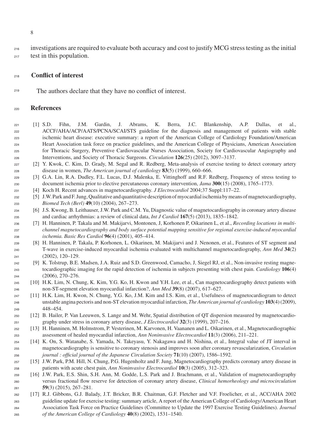investigations are required to evaluate both accuracy and cost to justify MCG stress testing as the initial test in this population.

#### **Conflict of interest**

<sup>219</sup> The authors declare that they have no conflict of interest.

#### **References**

- [1] S.D. Fihn, J.M. Gardin, J. Abrams, K. Berra, J.C. Blankenship, A.P. Dallas, et al., ACCF/AHA/ACP/AATS/PCNA/SCAI/STS guideline for the diagnosis and management of patients with stable ischemic heart disease: executive summary: a report of the American College of Cardiology Foundation/American Heart Association task force on practice guidelines, and the American College of Physicians, American Association for Thoracic Surgery, Preventive Cardiovascular Nurses Association, Society for Cardiovascular Angiography and Interventions, and Society of Thoracic Surgeons. *Circulation* **126**(25) (2012), 3097–3137.
- [2] Y. Kwok, C. Kim, D. Grady, M. Segal and R. Redberg, Meta-analysis of exercise testing to detect coronary artery disease in women, *The American journal of cardiology* **83**(5) (1999), 660–666.
- [3] G.A. Lin, R.A. Dudley, F.L. Lucas, D.J. Malenka, E. Vittinghoff and R.F. Redberg, Frequency of stress testing to document ischemia prior to elective percutaneous coronary intervention, *Jama* **300**(15) (2008), 1765–1773.
- [4] Koch H. Recent advances in magnetocardiography. *J Electrocardiol* 2004;37 Suppl:117–22.
- [5] J.W. Park and F. Jung, Qualitative and quantitative description of myocardial ischemia by means of magnetocardiography, *Biomed Tech (Berl)* **49**(10) (2004), 267–273.
- [6] J.S. Kwong, B. Leithauser, J.W. Park and C.M. Yu, Diagnostic value of magnetocardiography in coronary artery disease and cardiac arrhythmias: a review of clinical data, *Int J Cardiol* **167**(5) (2013), 1835–1842.
- [7] H. Hanninen, P. Takala and M. Makijarvi, Montonen, J, Korhonen P, Oikarinen L, et al., *Recording locations in multi- channel magnetocardiography and body surface potential mapping sensitive for regional exercise-induced myocardial ischemia. Basic Res Cardiol* **96**(4) (2001), 405–414.
- [8] H. Hanninen, P. Takala, P. Korhonen, L. Oikarinen, M. Makijarvi and J. Nenonen, et al., Features of ST segment and T-wave in exercise-induced myocardial ischemia evaluated with multichannel magnetocardiography, *Ann Med* **34**(2) (2002), 120–129.
- [9] K. Tolstrup, B.E. Madsen, J.A. Ruiz and S.D. Greenwood, Camacho, J, Siegel RJ, et al., Non-invasive resting magne- tocardiographic imaging for the rapid detection of ischemia in subjects presenting with chest pain. *Cardiology* **106**(4) (2006), 270–276.
- [10] H.K. Lim, N. Chung, K. Kim, Y.G. Ko, H. Kwon and Y.H. Lee, et al., Can magnetocardiography detect patients with non-ST-segment elevation myocardial infarction?, *Ann Med* **39**(8) (2007), 617–627.
- [11] H.K. Lim, H. Kwon, N. Chung, Y.G. Ko, J.M. Kim and I.S. Kim, et al., Usefulness of magnetocardiogram to detect unstable angina pectoris and non-ST elevation myocardial infarction, *The American journal of cardiology* **103**(4) (2009), 448–454.
- [12] B. Hailer, P. Van Leeuwen, S. Lange and M. Wehr, Spatial distribution of QT dispersion measured by magnetocardio-graphy under stress in coronary artery disease, *J Electrocardiol* **32**(3) (1999), 207–216.
- [13] H. Hanninen, M. Holmstrom, P. Vesterinen, M. Karvonen, H. Vaananen and L. Oikarinen, et al., Magnetocardiographic assessment of healed myocardial infarction, *Ann Noninvasive Electrocardiol* **11**(3) (2006), 211–221.
- [14] K. On, S. Watanabe, S. Yamada, N. Takeyasu, Y. Nakagawa and H. Nishina, et al., Integral value of JT interval in magnetocardiography is sensitive to coronary stenosis and improves soon after coronary revascularization, *Circulation journal : official journal of the Japanese Circulation Society* **71**(10) (2007), 1586–1592.
- [15] J.W. Park, P.M. Hill, N. Chung, P.G. Hugenholtz and F. Jung, Magnetocardiography predicts coronary artery disease in patients with acute chest pain, *Ann Noninvasive Electrocardiol* **10**(3) (2005), 312–323.
- [16] J.W. Park, E.S. Shin, S.H. Ann, M. Godde, L.S. Park and J. Brachmann, et al., Validation of magnetocardiography versus fractional flow reserve for detection of coronary artery disease, *Clinical hemorheology and microcirculation* **59**(3) (2015), 267–281.
- [17] R.J. Gibbons, G.J. Balady, J.T. Bricker, B.R. Chaitman, G.F. Fletcher and V.F. Froelicher, et al., ACC/AHA 2002 guideline update for exercise testing: summary article, A report of the American College of Cardiology/American Heart Association Task Force on Practice Guidelines (Committee to Update the 1997 Exercise Testing Guidelines). *Journal of the American College of Cardiology* **40**(8) (2002), 1531–1540.